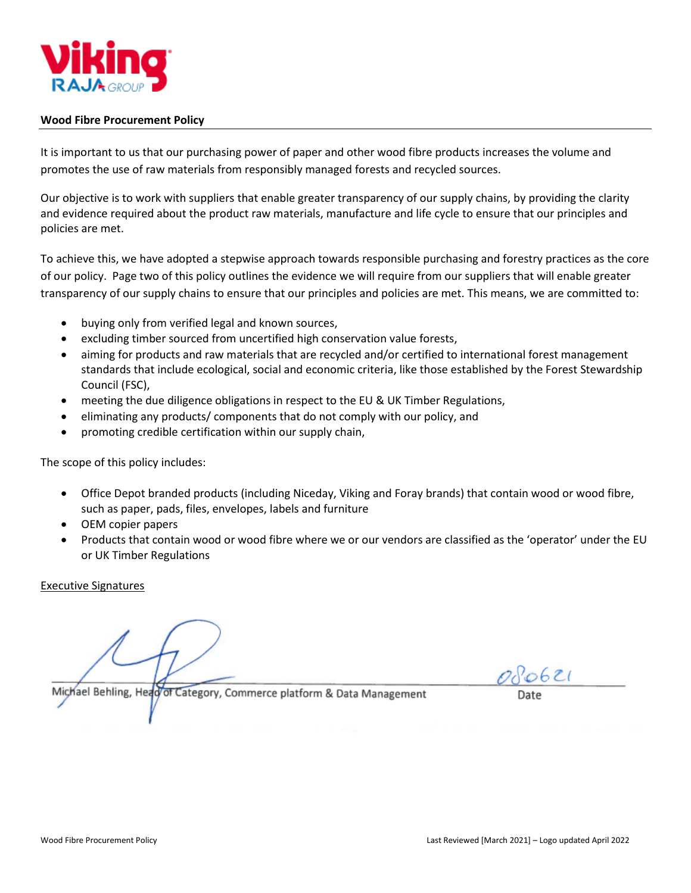

## **Wood Fibre Procurement Policy**

It is important to us that our purchasing power of paper and other wood fibre products increases the volume and promotes the use of raw materials from responsibly managed forests and recycled sources.

Our objective is to work with suppliers that enable greater transparency of our supply chains, by providing the clarity and evidence required about the product raw materials, manufacture and life cycle to ensure that our principles and policies are met.

To achieve this, we have adopted a stepwise approach towards responsible purchasing and forestry practices as the core of our policy. Page two of this policy outlines the evidence we will require from our suppliers that will enable greater transparency of our supply chains to ensure that our principles and policies are met. This means, we are committed to:

- buying only from verified legal and known sources,
- excluding timber sourced from uncertified high conservation value forests,
- aiming for products and raw materials that are recycled and/or certified to international forest management standards that include ecological, social and economic criteria, like those established by the Forest Stewardship Council (FSC),
- meeting the due diligence obligations in respect to the EU & UK Timber Regulations,
- eliminating any products/ components that do not comply with our policy, and
- promoting credible certification within our supply chain,

The scope of this policy includes:

- Office Depot branded products (including Niceday, Viking and Foray brands) that contain wood or wood fibre, such as paper, pads, files, envelopes, labels and furniture
- OEM copier papers
- Products that contain wood or wood fibre where we or our vendors are classified as the 'operator' under the EU or UK Timber Regulations

Executive Signatures

Michael Behling, Head of Category, Commerce platform & Data Management